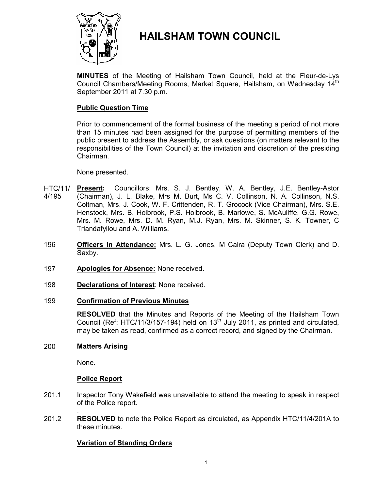

# **HAILSHAM TOWN COUNCIL**

**MINUTES** of the Meeting of Hailsham Town Council, held at the Fleur-de-Lys Council Chambers/Meeting Rooms, Market Square, Hailsham, on Wednesdav 14<sup>th</sup> September 2011 at 7.30 p.m.

# **Public Question Time**

Prior to commencement of the formal business of the meeting a period of not more than 15 minutes had been assigned for the purpose of permitting members of the public present to address the Assembly, or ask questions (on matters relevant to the responsibilities of the Town Council) at the invitation and discretion of the presiding Chairman.

#### None presented.

- HTC/11/ 4/195 **Present:** Councillors: Mrs. S. J. Bentley, W. A. Bentley, J.E. Bentley-Astor (Chairman), J. L. Blake, Mrs M. Burt, Ms C. V. Collinson, N. A. Collinson, N.S. Coltman, Mrs. J. Cook, W. F. Crittenden, R. T. Grocock (Vice Chairman), Mrs. S.E. Henstock, Mrs. B. Holbrook, P.S. Holbrook, B. Marlowe, S. McAuliffe, G.G. Rowe, Mrs. M. Rowe, Mrs. D. M. Ryan, M.J. Ryan, Mrs. M. Skinner, S. K. Towner, C Triandafyllou and A. Williams.
- 196 **Officers in Attendance:** Mrs. L. G. Jones, M Caira (Deputy Town Clerk) and D. Saxby.
- 197 **Apologies for Absence:** None received.
- 198 **Declarations of Interest**: None received.

# 199 **Confirmation of Previous Minutes**

**RESOLVED** that the Minutes and Reports of the Meeting of the Hailsham Town Council (Ref: HTC/11/3/157-194) held on  $13<sup>th</sup>$  July 2011, as printed and circulated, may be taken as read, confirmed as a correct record, and signed by the Chairman.

# 200 **Matters Arising**

None.

# **Police Report**

- 201.1 Inspector Tony Wakefield was unavailable to attend the meeting to speak in respect of the Police report.
- 201.2 . **RESOLVED** to note the Police Report as circulated, as Appendix HTC/11/4/201A to these minutes.

# **Variation of Standing Orders**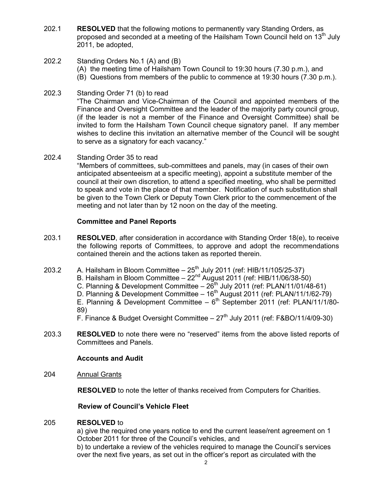- 202.1 **RESOLVED** that the following motions to permanently vary Standing Orders, as proposed and seconded at a meeting of the Hailsham Town Council held on  $13<sup>th</sup>$  July 2011, be adopted,
- 202.2 Standing Orders No.1 (A) and (B)
	- (A) the meeting time of Hailsham Town Council to 19:30 hours (7.30 p.m.), and
	- (B) Questions from members of the public to commence at 19:30 hours (7.30 p.m.).
- 202.3 Standing Order 71 (b) to read "The Chairman and Vice-Chairman of the Council and appointed members of the Finance and Oversight Committee and the leader of the majority party council group, (if the leader is not a member of the Finance and Oversight Committee) shall be invited to form the Hailsham Town Council cheque signatory panel. If any member wishes to decline this invitation an alternative member of the Council will be sought to serve as a signatory for each vacancy."
- 202.4 Standing Order 35 to read

"Members of committees, sub-committees and panels, may (in cases of their own anticipated absenteeism at a specific meeting), appoint a substitute member of the council at their own discretion, to attend a specified meeting, who shall be permitted to speak and vote in the place of that member. Notification of such substitution shall be given to the Town Clerk or Deputy Town Clerk prior to the commencement of the meeting and not later than by 12 noon on the day of the meeting.

# **Committee and Panel Reports**

- 203.1 **RESOLVED**, after consideration in accordance with Standing Order 18(e), to receive the following reports of Committees, to approve and adopt the recommendations contained therein and the actions taken as reported therein.
- 203.2 A. Hailsham in Bloom Committee  $-25<sup>th</sup>$  July 2011 (ref: HIB/11/105/25-37)
	- B. Hailsham in Bloom Committee  $22<sup>nd</sup>$  August 2011 (ref: HIB/11/06/38-50)
		- C. Planning & Development Committee  $-26$ <sup>th</sup> July 2011 (ref: PLAN/11/01/48-61)
		- D. Planning & Development Committee 16<sup>th</sup> August 2011 (ref: PLAN/11/1/62-79)

E. Planning & Development Committee –  $6<sup>th</sup>$  September 2011 (ref: PLAN/11/1/80-89)

F. Finance & Budget Oversight Committee –  $27<sup>th</sup>$  July 2011 (ref: F&BO/11/4/09-30)

203.3 **RESOLVED** to note there were no "reserved" items from the above listed reports of Committees and Panels.

# **Accounts and Audit**

204 Annual Grants

**RESOLVED** to note the letter of thanks received from Computers for Charities.

## **Review of Council's Vehicle Fleet**

#### 205 **RESOLVED** to

a) give the required one years notice to end the current lease/rent agreement on 1 October 2011 for three of the Council's vehicles, and

b) to undertake a review of the vehicles required to manage the Council's services over the next five years, as set out in the officer's report as circulated with the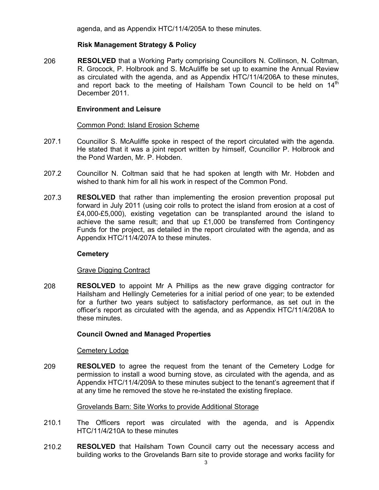agenda, and as Appendix HTC/11/4/205A to these minutes.

# **Risk Management Strategy & Policy**

206 **RESOLVED** that a Working Party comprising Councillors N. Collinson, N. Coltman, R. Grocock, P. Holbrook and S. McAuliffe be set up to examine the Annual Review as circulated with the agenda, and as Appendix HTC/11/4/206A to these minutes, and report back to the meeting of Hailsham Town Council to be held on 14<sup>th</sup> December 2011.

### **Environment and Leisure**

#### Common Pond: Island Erosion Scheme

- 207.1 Councillor S. McAuliffe spoke in respect of the report circulated with the agenda. He stated that it was a joint report written by himself, Councillor P. Holbrook and the Pond Warden, Mr. P. Hobden.
- 207.2 Councillor N. Coltman said that he had spoken at length with Mr. Hobden and wished to thank him for all his work in respect of the Common Pond.
- 207.3 **RESOLVED** that rather than implementing the erosion prevention proposal put forward in July 2011 (using coir rolls to protect the island from erosion at a cost of £4,000-£5,000), existing vegetation can be transplanted around the island to achieve the same result; and that up  $£1,000$  be transferred from Contingency Funds for the project, as detailed in the report circulated with the agenda, and as Appendix HTC/11/4/207A to these minutes.

# **Cemetery**

# Grave Digging Contract

208 **RESOLVED** to appoint Mr A Phillips as the new grave digging contractor for Hailsham and Hellingly Cemeteries for a initial period of one year; to be extended for a further two years subject to satisfactory performance, as set out in the officer's report as circulated with the agenda, and as Appendix HTC/11/4/208A to these minutes.

# **Council Owned and Managed Properties**

### Cemetery Lodge

209 **RESOLVED** to agree the request from the tenant of the Cemetery Lodge for permission to install a wood burning stove, as circulated with the agenda, and as Appendix HTC/11/4/209A to these minutes subject to the tenant's agreement that if at any time he removed the stove he re-instated the existing fireplace.

#### Grovelands Barn: Site Works to provide Additional Storage

- 210.1 The Officers report was circulated with the agenda, and is Appendix HTC/11/4/210A to these minutes
- 210.2 **RESOLVED** that Hailsham Town Council carry out the necessary access and building works to the Grovelands Barn site to provide storage and works facility for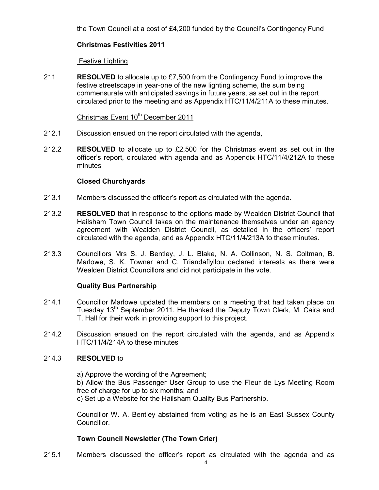the Town Council at a cost of £4,200 funded by the Council's Contingency Fund

# **Christmas Festivities 2011**

### Festive Lighting

211 **RESOLVED** to allocate up to £7,500 from the Contingency Fund to improve the festive streetscape in year-one of the new lighting scheme, the sum being commensurate with anticipated savings in future years, as set out in the report circulated prior to the meeting and as Appendix HTC/11/4/211A to these minutes.

### Christmas Event 10<sup>th</sup> December 2011

- 212.1 Discussion ensued on the report circulated with the agenda,
- 212.2 **RESOLVED** to allocate up to £2,500 for the Christmas event as set out in the officer's report, circulated with agenda and as Appendix HTC/11/4/212A to these minutes

# **Closed Churchyards**

- 213.1 Members discussed the officer's report as circulated with the agenda.
- 213.2 **RESOLVED** that in response to the options made by Wealden District Council that Hailsham Town Council takes on the maintenance themselves under an agency agreement with Wealden District Council, as detailed in the officers' report circulated with the agenda, and as Appendix HTC/11/4/213A to these minutes.
- 213.3 Councillors Mrs S. J. Bentley, J. L. Blake, N. A. Collinson, N. S. Coltman, B. Marlowe, S. K. Towner and C. Triandaflyllou declared interests as there were Wealden District Councillors and did not participate in the vote.

# **Quality Bus Partnership**

- 214.1 Councillor Marlowe updated the members on a meeting that had taken place on Tuesday 13<sup>th</sup> September 2011. He thanked the Deputy Town Clerk, M. Caira and T. Hall for their work in providing support to this project.
- 214.2 Discussion ensued on the report circulated with the agenda, and as Appendix HTC/11/4/214A to these minutes

#### 214.3 **RESOLVED** to

a) Approve the wording of the Agreement; b) Allow the Bus Passenger User Group to use the Fleur de Lys Meeting Room free of charge for up to six months; and c) Set up a Website for the Hailsham Quality Bus Partnership.

Councillor W. A. Bentley abstained from voting as he is an East Sussex County Councillor.

# **Town Council Newsletter (The Town Crier)**

215.1 Members discussed the officer's report as circulated with the agenda and as